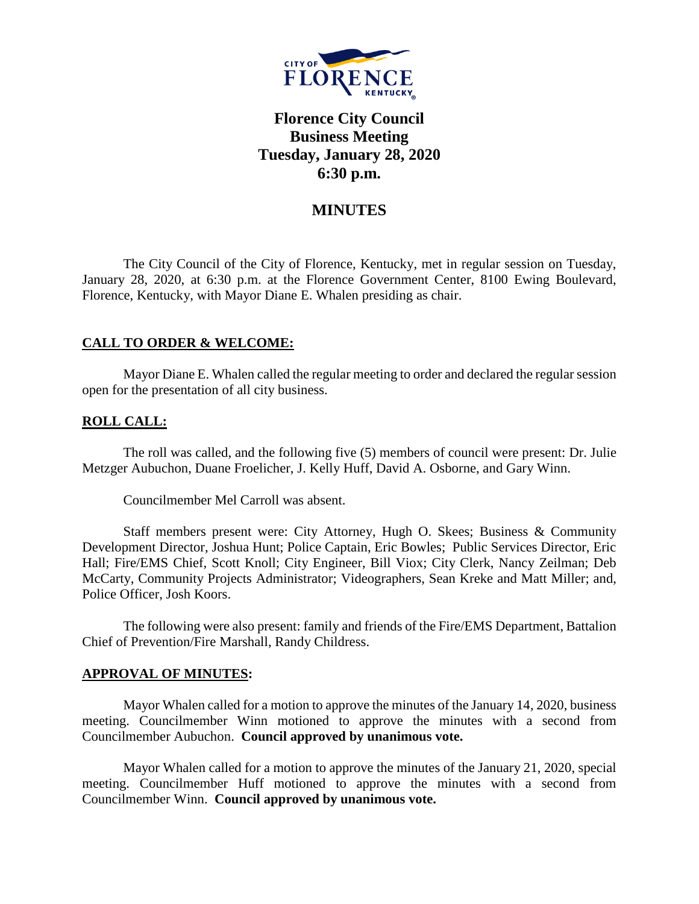

# **Florence City Council Business Meeting Tuesday, January 28, 2020 6:30 p.m.**

## **MINUTES**

The City Council of the City of Florence, Kentucky, met in regular session on Tuesday, January 28, 2020, at 6:30 p.m. at the Florence Government Center, 8100 Ewing Boulevard, Florence, Kentucky, with Mayor Diane E. Whalen presiding as chair.

## **CALL TO ORDER & WELCOME:**

Mayor Diane E. Whalen called the regular meeting to order and declared the regular session open for the presentation of all city business.

### **ROLL CALL:**

The roll was called, and the following five (5) members of council were present: Dr. Julie Metzger Aubuchon, Duane Froelicher, J. Kelly Huff, David A. Osborne, and Gary Winn.

Councilmember Mel Carroll was absent.

Staff members present were: City Attorney, Hugh O. Skees; Business & Community Development Director, Joshua Hunt; Police Captain, Eric Bowles; Public Services Director, Eric Hall; Fire/EMS Chief, Scott Knoll; City Engineer, Bill Viox; City Clerk, Nancy Zeilman; Deb McCarty, Community Projects Administrator; Videographers, Sean Kreke and Matt Miller; and, Police Officer, Josh Koors.

The following were also present: family and friends of the Fire/EMS Department, Battalion Chief of Prevention/Fire Marshall, Randy Childress.

#### **APPROVAL OF MINUTES:**

Mayor Whalen called for a motion to approve the minutes of the January 14, 2020, business meeting. Councilmember Winn motioned to approve the minutes with a second from Councilmember Aubuchon. **Council approved by unanimous vote.**

Mayor Whalen called for a motion to approve the minutes of the January 21, 2020, special meeting. Councilmember Huff motioned to approve the minutes with a second from Councilmember Winn. **Council approved by unanimous vote.**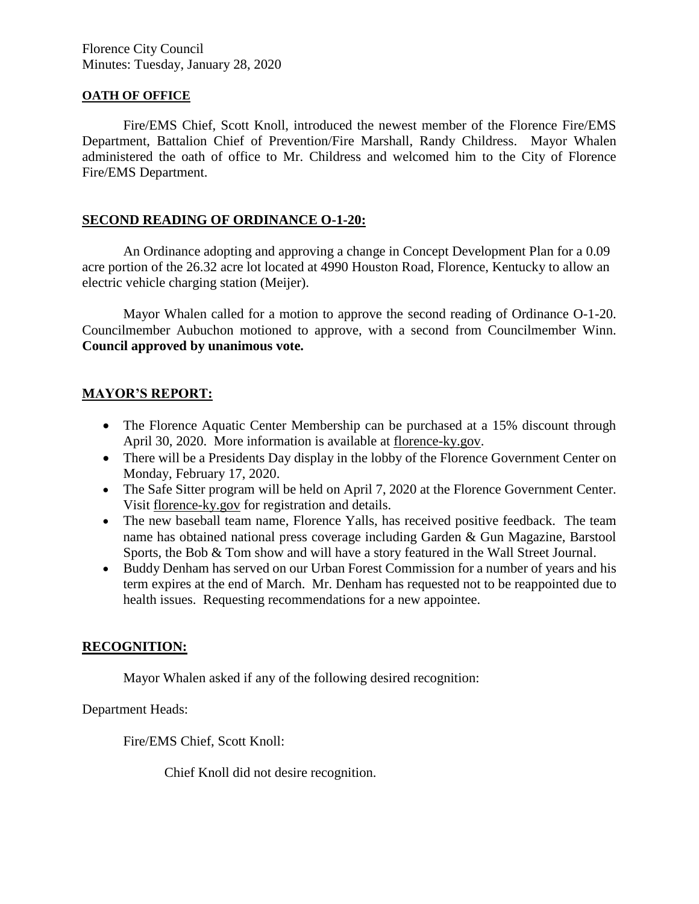Florence City Council Minutes: Tuesday, January 28, 2020

#### **OATH OF OFFICE**

Fire/EMS Chief, Scott Knoll, introduced the newest member of the Florence Fire/EMS Department, Battalion Chief of Prevention/Fire Marshall, Randy Childress. Mayor Whalen administered the oath of office to Mr. Childress and welcomed him to the City of Florence Fire/EMS Department.

### **SECOND READING OF ORDINANCE O-1-20:**

An Ordinance adopting and approving a change in Concept Development Plan for a 0.09 acre portion of the 26.32 acre lot located at 4990 Houston Road, Florence, Kentucky to allow an electric vehicle charging station (Meijer).

Mayor Whalen called for a motion to approve the second reading of Ordinance O-1-20. Councilmember Aubuchon motioned to approve, with a second from Councilmember Winn. **Council approved by unanimous vote.**

### **MAYOR'S REPORT:**

- The Florence Aquatic Center Membership can be purchased at a 15% discount through April 30, 2020. More information is available at [florence-ky.gov.](http://www.florence-ky.gov/)
- There will be a Presidents Day display in the lobby of the Florence Government Center on Monday, February 17, 2020.
- The Safe Sitter program will be held on April 7, 2020 at the Florence Government Center. Visit florence-ky.gov for registration and details.
- The new baseball team name, Florence Yalls, has received positive feedback. The team name has obtained national press coverage including Garden & Gun Magazine, Barstool Sports, the Bob & Tom show and will have a story featured in the Wall Street Journal.
- Buddy Denham has served on our Urban Forest Commission for a number of years and his term expires at the end of March. Mr. Denham has requested not to be reappointed due to health issues. Requesting recommendations for a new appointee.

#### **RECOGNITION:**

Mayor Whalen asked if any of the following desired recognition:

Department Heads:

Fire/EMS Chief, Scott Knoll:

Chief Knoll did not desire recognition.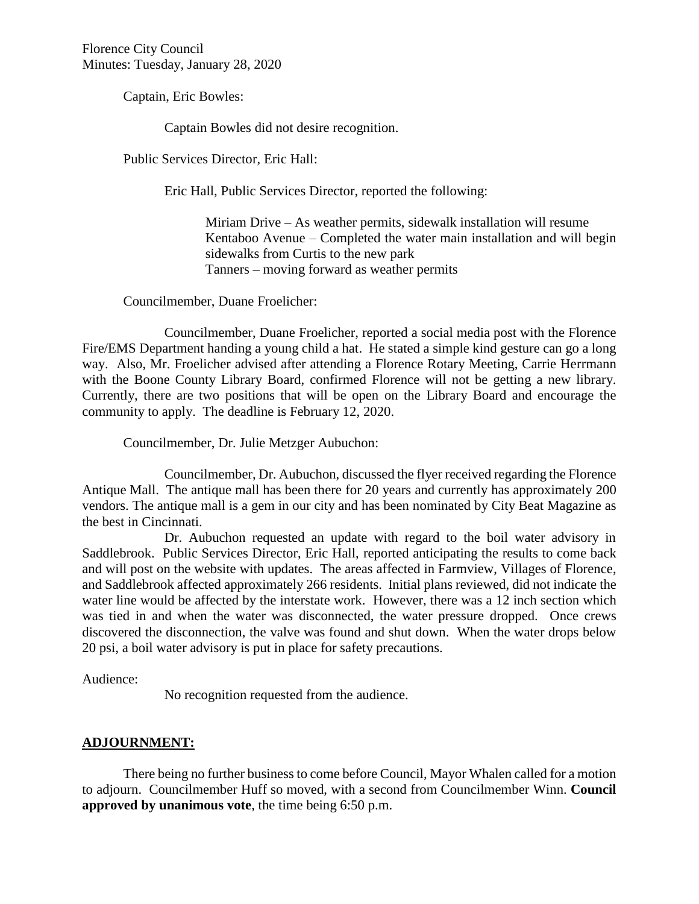Florence City Council Minutes: Tuesday, January 28, 2020

Captain, Eric Bowles:

Captain Bowles did not desire recognition.

Public Services Director, Eric Hall:

Eric Hall, Public Services Director, reported the following:

Miriam Drive – As weather permits, sidewalk installation will resume Kentaboo Avenue – Completed the water main installation and will begin sidewalks from Curtis to the new park Tanners – moving forward as weather permits

Councilmember, Duane Froelicher:

Councilmember, Duane Froelicher, reported a social media post with the Florence Fire/EMS Department handing a young child a hat. He stated a simple kind gesture can go a long way. Also, Mr. Froelicher advised after attending a Florence Rotary Meeting, Carrie Herrmann with the Boone County Library Board, confirmed Florence will not be getting a new library. Currently, there are two positions that will be open on the Library Board and encourage the community to apply. The deadline is February 12, 2020.

Councilmember, Dr. Julie Metzger Aubuchon:

Councilmember, Dr. Aubuchon, discussed the flyer received regarding the Florence Antique Mall. The antique mall has been there for 20 years and currently has approximately 200 vendors. The antique mall is a gem in our city and has been nominated by City Beat Magazine as the best in Cincinnati.

Dr. Aubuchon requested an update with regard to the boil water advisory in Saddlebrook. Public Services Director, Eric Hall, reported anticipating the results to come back and will post on the website with updates. The areas affected in Farmview, Villages of Florence, and Saddlebrook affected approximately 266 residents. Initial plans reviewed, did not indicate the water line would be affected by the interstate work. However, there was a 12 inch section which was tied in and when the water was disconnected, the water pressure dropped. Once crews discovered the disconnection, the valve was found and shut down. When the water drops below 20 psi, a boil water advisory is put in place for safety precautions.

Audience:

No recognition requested from the audience.

#### **ADJOURNMENT:**

There being no further business to come before Council, Mayor Whalen called for a motion to adjourn. Councilmember Huff so moved, with a second from Councilmember Winn. **Council approved by unanimous vote**, the time being 6:50 p.m.